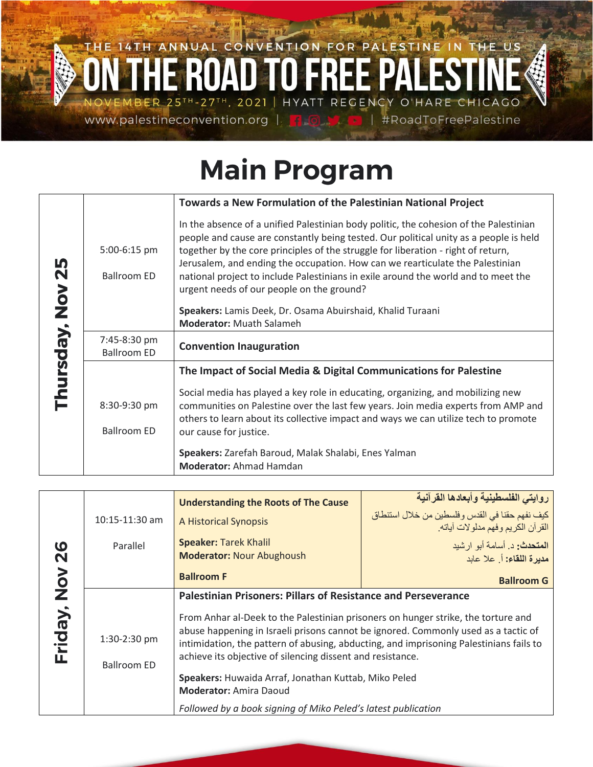## THE 14TH ANNUAL CONVENTION FOR PALESTINE IN THE US HYATT REGENCY O'HARE CHICAGO 25TH-27TH, 2021 | ER www.palestineconvention.org | #RoadToFreePalestine

## **Main Program**

|               |                                    | Towards a New Formulation of the Palestinian National Project                                                                                                                                                                                                                                                                                                                                                                                                                                                                                         |
|---------------|------------------------------------|-------------------------------------------------------------------------------------------------------------------------------------------------------------------------------------------------------------------------------------------------------------------------------------------------------------------------------------------------------------------------------------------------------------------------------------------------------------------------------------------------------------------------------------------------------|
| <b>Nov 25</b> | 5:00-6:15 pm<br><b>Ballroom ED</b> | In the absence of a unified Palestinian body politic, the cohesion of the Palestinian<br>people and cause are constantly being tested. Our political unity as a people is held<br>together by the core principles of the struggle for liberation - right of return,<br>Jerusalem, and ending the occupation. How can we rearticulate the Palestinian<br>national project to include Palestinians in exile around the world and to meet the<br>urgent needs of our people on the ground?<br>Speakers: Lamis Deek, Dr. Osama Abuirshaid, Khalid Turaani |
|               |                                    | <b>Moderator: Muath Salameh</b>                                                                                                                                                                                                                                                                                                                                                                                                                                                                                                                       |
|               | 7:45-8:30 pm<br><b>Ballroom ED</b> | <b>Convention Inauguration</b>                                                                                                                                                                                                                                                                                                                                                                                                                                                                                                                        |
|               |                                    | The Impact of Social Media & Digital Communications for Palestine                                                                                                                                                                                                                                                                                                                                                                                                                                                                                     |
| Thursday,     | 8:30-9:30 pm<br><b>Ballroom ED</b> | Social media has played a key role in educating, organizing, and mobilizing new<br>communities on Palestine over the last few years. Join media experts from AMP and<br>others to learn about its collective impact and ways we can utilize tech to promote<br>our cause for justice.                                                                                                                                                                                                                                                                 |
|               |                                    | Speakers: Zarefah Baroud, Malak Shalabi, Enes Yalman<br><b>Moderator: Ahmad Hamdan</b>                                                                                                                                                                                                                                                                                                                                                                                                                                                                |

| $\boldsymbol{\omega}$<br>N | $10:15-11:30$ am<br>Parallel       | <b>Understanding the Roots of The Cause</b><br>A Historical Synopsis<br><b>Speaker: Tarek Khalil</b><br><b>Moderator: Nour Abughoush</b>                                                                                                                                                                                                                                                                                                                                                         | روايتي الفلسطينية وأبعادها القرآنية<br>كيف نفهم حقنا في القدس وفلسطين من خلال استنطاق<br>القرآن الكريم وفهم مدلولات آياته.<br>ا <b>لمتحدث:</b> د. أسامة أبو ار شيد<br>مديرة اللقاء: أ. علا عابد |
|----------------------------|------------------------------------|--------------------------------------------------------------------------------------------------------------------------------------------------------------------------------------------------------------------------------------------------------------------------------------------------------------------------------------------------------------------------------------------------------------------------------------------------------------------------------------------------|-------------------------------------------------------------------------------------------------------------------------------------------------------------------------------------------------|
|                            |                                    | <b>Ballroom F</b>                                                                                                                                                                                                                                                                                                                                                                                                                                                                                | <b>Ballroom G</b>                                                                                                                                                                               |
| No<br>No<br>Friday,        | 1:30-2:30 pm<br><b>Ballroom ED</b> | <b>Palestinian Prisoners: Pillars of Resistance and Perseverance</b><br>From Anhar al-Deek to the Palestinian prisoners on hunger strike, the torture and<br>abuse happening in Israeli prisons cannot be ignored. Commonly used as a tactic of<br>intimidation, the pattern of abusing, abducting, and imprisoning Palestinians fails to<br>achieve its objective of silencing dissent and resistance.<br>Speakers: Huwaida Arraf, Jonathan Kuttab, Miko Peled<br><b>Moderator: Amira Daoud</b> |                                                                                                                                                                                                 |
|                            |                                    | Followed by a book signing of Miko Peled's latest publication                                                                                                                                                                                                                                                                                                                                                                                                                                    |                                                                                                                                                                                                 |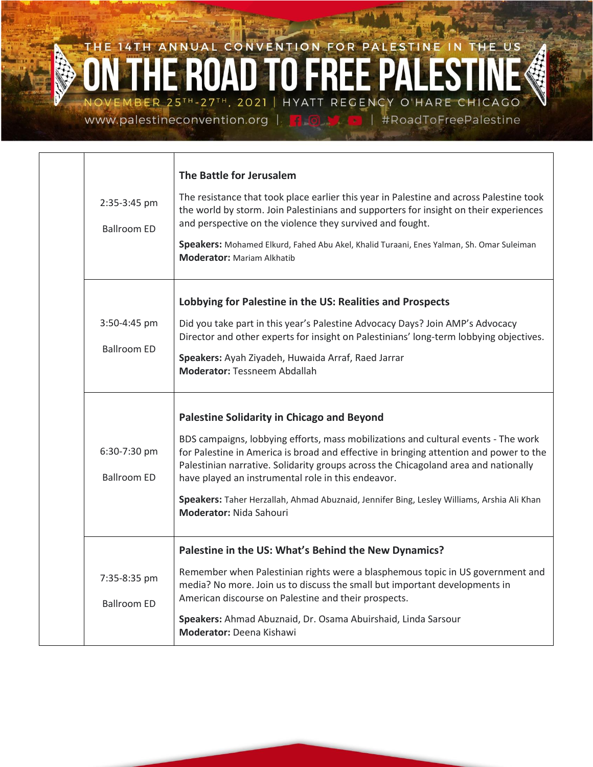## THE 14TH ANNUAL CONVENTION FOR PALESTINE IN THE US OVEMBER 25TH-27TH, 2021 | HYATT REGENCY O'HARE CHICAGO #RoadToFreePalestine

www.palestineconvention.org |

| 2:35-3:45 pm<br><b>Ballroom ED</b> | The Battle for Jerusalem<br>The resistance that took place earlier this year in Palestine and across Palestine took<br>the world by storm. Join Palestinians and supporters for insight on their experiences<br>and perspective on the violence they survived and fought.<br>Speakers: Mohamed Elkurd, Fahed Abu Akel, Khalid Turaani, Enes Yalman, Sh. Omar Suleiman<br><b>Moderator: Mariam Alkhatib</b>                                                                                                     |
|------------------------------------|----------------------------------------------------------------------------------------------------------------------------------------------------------------------------------------------------------------------------------------------------------------------------------------------------------------------------------------------------------------------------------------------------------------------------------------------------------------------------------------------------------------|
| 3:50-4:45 pm<br><b>Ballroom ED</b> | Lobbying for Palestine in the US: Realities and Prospects<br>Did you take part in this year's Palestine Advocacy Days? Join AMP's Advocacy<br>Director and other experts for insight on Palestinians' long-term lobbying objectives.<br>Speakers: Ayah Ziyadeh, Huwaida Arraf, Raed Jarrar<br><b>Moderator: Tessneem Abdallah</b>                                                                                                                                                                              |
| 6:30-7:30 pm<br><b>Ballroom ED</b> | <b>Palestine Solidarity in Chicago and Beyond</b><br>BDS campaigns, lobbying efforts, mass mobilizations and cultural events - The work<br>for Palestine in America is broad and effective in bringing attention and power to the<br>Palestinian narrative. Solidarity groups across the Chicagoland area and nationally<br>have played an instrumental role in this endeavor.<br>Speakers: Taher Herzallah, Ahmad Abuznaid, Jennifer Bing, Lesley Williams, Arshia Ali Khan<br><b>Moderator: Nida Sahouri</b> |
| 7:35-8:35 pm<br><b>Ballroom ED</b> | Palestine in the US: What's Behind the New Dynamics?<br>Remember when Palestinian rights were a blasphemous topic in US government and<br>media? No more. Join us to discuss the small but important developments in<br>American discourse on Palestine and their prospects.<br>Speakers: Ahmad Abuznaid, Dr. Osama Abuirshaid, Linda Sarsour<br><b>Moderator: Deena Kishawi</b>                                                                                                                               |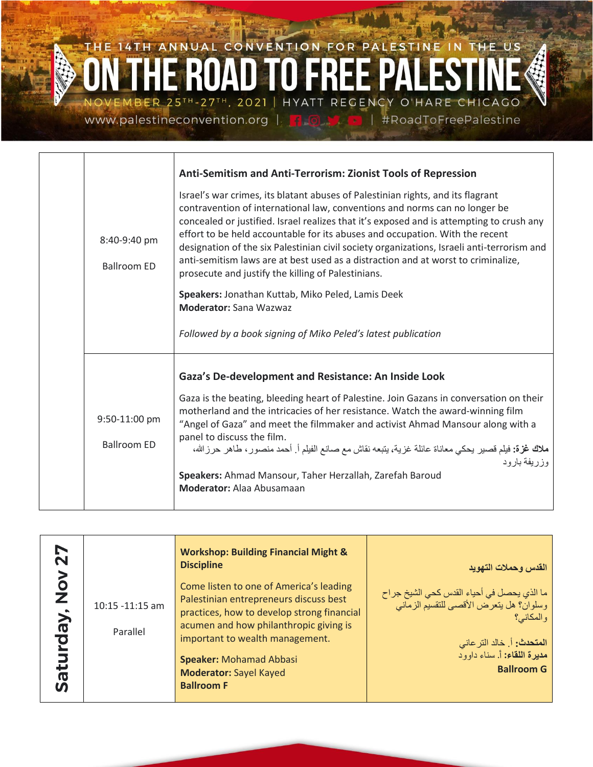

| 8:40-9:40 pm<br><b>Ballroom ED</b>  | Anti-Semitism and Anti-Terrorism: Zionist Tools of Repression<br>Israel's war crimes, its blatant abuses of Palestinian rights, and its flagrant<br>contravention of international law, conventions and norms can no longer be<br>concealed or justified. Israel realizes that it's exposed and is attempting to crush any<br>effort to be held accountable for its abuses and occupation. With the recent<br>designation of the six Palestinian civil society organizations, Israeli anti-terrorism and<br>anti-semitism laws are at best used as a distraction and at worst to criminalize,<br>prosecute and justify the killing of Palestinians.<br>Speakers: Jonathan Kuttab, Miko Peled, Lamis Deek<br><b>Moderator: Sana Wazwaz</b><br>Followed by a book signing of Miko Peled's latest publication |
|-------------------------------------|------------------------------------------------------------------------------------------------------------------------------------------------------------------------------------------------------------------------------------------------------------------------------------------------------------------------------------------------------------------------------------------------------------------------------------------------------------------------------------------------------------------------------------------------------------------------------------------------------------------------------------------------------------------------------------------------------------------------------------------------------------------------------------------------------------|
| 9:50-11:00 pm<br><b>Ballroom ED</b> | Gaza's De-development and Resistance: An Inside Look<br>Gaza is the beating, bleeding heart of Palestine. Join Gazans in conversation on their<br>motherland and the intricacies of her resistance. Watch the award-winning film<br>"Angel of Gaza" and meet the filmmaker and activist Ahmad Mansour along with a<br>panel to discuss the film.<br><b>ملاك غزة:</b> فيلم قصير يحكي معاناة عائلة غزية، يتبعه نقاش مع صانع الفيلم أ <sub>.</sub> أحمد منصور ، طاهر حرزالله،<br>وز ريفة بار و د<br>Speakers: Ahmad Mansour, Taher Herzallah, Zarefah Baroud<br><b>Moderator:</b> Alaa Abusamaan                                                                                                                                                                                                              |

| <b>Z7</b>                     |                             | <b>Workshop: Building Financial Might &amp;</b><br><b>Discipline</b>                                                                                                                                                                                                                                 | القدس وحملات التهويد                                                                                                                                                                                      |
|-------------------------------|-----------------------------|------------------------------------------------------------------------------------------------------------------------------------------------------------------------------------------------------------------------------------------------------------------------------------------------------|-----------------------------------------------------------------------------------------------------------------------------------------------------------------------------------------------------------|
| $rac{5}{2}$<br>rday,<br>Satur | 10:15 -11:15 am<br>Parallel | Come listen to one of America's leading<br>Palestinian entrepreneurs discuss best<br>practices, how to develop strong financial<br>acumen and how philanthropic giving is<br>important to wealth management.<br><b>Speaker: Mohamad Abbasi</b><br><b>Moderator: Sayel Kayed</b><br><b>Ballroom F</b> | ما الذي يحصل في أحياء القدس كحي الشيخ جراح<br>وسلوان؟ هل يتعرض الأقصى للتقسيم الزماني<br>و المكانے ؟<br>  ا <b>لمتحدث:</b> أ. خالد التر عاني<br>  <b>مديرة اللقاء:</b> أ. سناء داوود<br><b>Ballroom G</b> |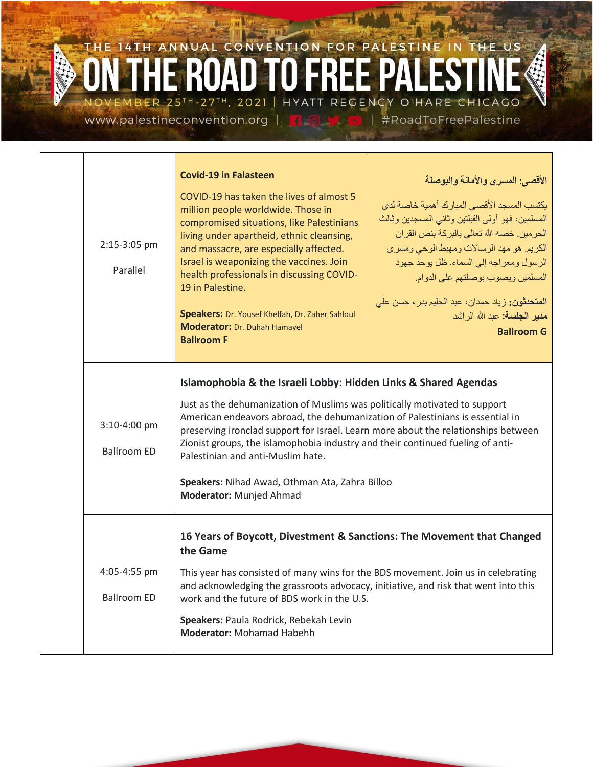## THE 14TH ANNUAL CONVENTION FOR PALESTINE IN THE US VEMBER 25TH-27TH, 2021 | HYATT REGENCY O'HARE CHICAGO www.palestineconvention.org | F | #RoadToFreePalestine

|                                                                                                                                                                                                                                                                                                                                                                                                                                                                                                                                                                | 2:15-3:05 pm<br>Parallel           | <b>Covid-19 in Falasteen</b><br>COVID-19 has taken the lives of almost 5<br>million people worldwide. Those in<br>compromised situations, like Palestinians<br>living under apartheid, ethnic cleansing,<br>and massacre, are especially affected.<br>Israel is weaponizing the vaccines. Join<br>health professionals in discussing COVID-<br>19 in Palestine.<br>Speakers: Dr. Yousef Khelfah, Dr. Zaher Sahloul<br>Moderator: Dr. Duhah Hamayel<br><b>Ballroom F</b> | الأقصى: المسرى والأمانة والبوصلة<br>يكتسب المسجد الأقصبي المبار ك أهمية خاصبة لدى<br>المسلمين، فهو أولى القبلتين وثاني المسجدين وثالث<br>الحر مين. خصه الله تعالى بالبركة بنص القرآن<br>الكريم. هو مهد الرسالات ومهبط الوحي ومسرى<br>الرسول ومعراجه إلى السماء. ظل يوحد جهود<br>المسلمين ويصوب بوصلتهم على الدوام.<br>ا <b>لمتحدثون:</b> زياد حمدان، عبد الحليم بدر ، حسن عل <i>ى</i><br>مدير الجلسة: عبد الله الر اشد<br><b>Ballroom G</b> |
|----------------------------------------------------------------------------------------------------------------------------------------------------------------------------------------------------------------------------------------------------------------------------------------------------------------------------------------------------------------------------------------------------------------------------------------------------------------------------------------------------------------------------------------------------------------|------------------------------------|-------------------------------------------------------------------------------------------------------------------------------------------------------------------------------------------------------------------------------------------------------------------------------------------------------------------------------------------------------------------------------------------------------------------------------------------------------------------------|---------------------------------------------------------------------------------------------------------------------------------------------------------------------------------------------------------------------------------------------------------------------------------------------------------------------------------------------------------------------------------------------------------------------------------------------|
| Islamophobia & the Israeli Lobby: Hidden Links & Shared Agendas<br>Just as the dehumanization of Muslims was politically motivated to support<br>American endeavors abroad, the dehumanization of Palestinians is essential in<br>3:10-4:00 pm<br>preserving ironclad support for Israel. Learn more about the relationships between<br>Zionist groups, the islamophobia industry and their continued fueling of anti-<br><b>Ballroom ED</b><br>Palestinian and anti-Muslim hate.<br>Speakers: Nihad Awad, Othman Ata, Zahra Billoo<br>Moderator: Munjed Ahmad |                                    |                                                                                                                                                                                                                                                                                                                                                                                                                                                                         |                                                                                                                                                                                                                                                                                                                                                                                                                                             |
|                                                                                                                                                                                                                                                                                                                                                                                                                                                                                                                                                                | 4:05-4:55 pm<br><b>Ballroom ED</b> | 16 Years of Boycott, Divestment & Sanctions: The Movement that Changed<br>the Game<br>This year has consisted of many wins for the BDS movement. Join us in celebrating<br>and acknowledging the grassroots advocacy, initiative, and risk that went into this<br>work and the future of BDS work in the U.S.<br>Speakers: Paula Rodrick, Rebekah Levin<br><b>Moderator: Mohamad Habehh</b>                                                                             |                                                                                                                                                                                                                                                                                                                                                                                                                                             |